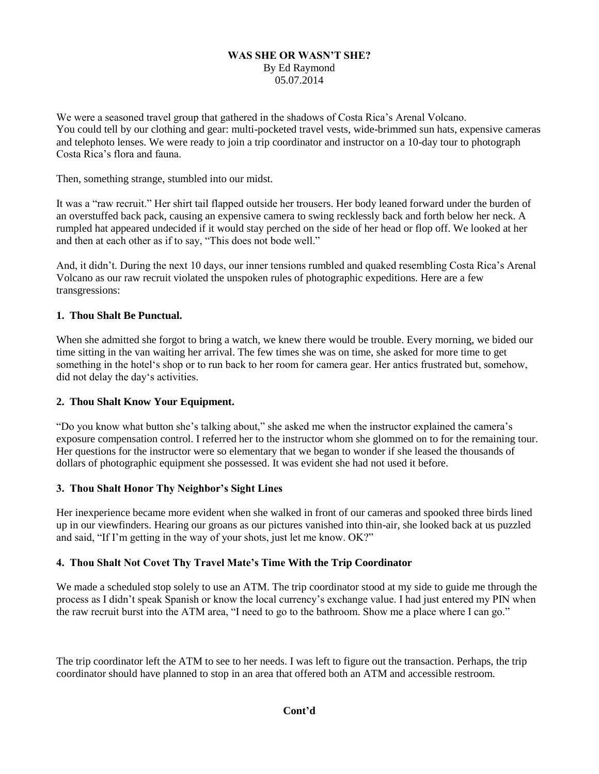#### **WAS SHE OR WASN'T SHE?** By Ed Raymond 05.07.2014

We were a seasoned travel group that gathered in the shadows of Costa Rica's Arenal Volcano. You could tell by our clothing and gear: multi-pocketed travel vests, wide-brimmed sun hats, expensive cameras and telephoto lenses. We were ready to join a trip coordinator and instructor on a 10-day tour to photograph Costa Rica's flora and fauna.

Then, something strange, stumbled into our midst.

It was a "raw recruit." Her shirt tail flapped outside her trousers. Her body leaned forward under the burden of an overstuffed back pack, causing an expensive camera to swing recklessly back and forth below her neck. A rumpled hat appeared undecided if it would stay perched on the side of her head or flop off. We looked at her and then at each other as if to say, "This does not bode well."

And, it didn't. During the next 10 days, our inner tensions rumbled and quaked resembling Costa Rica's Arenal Volcano as our raw recruit violated the unspoken rules of photographic expeditions. Here are a few transgressions:

# **1. Thou Shalt Be Punctual.**

When she admitted she forgot to bring a watch, we knew there would be trouble. Every morning, we bided our time sitting in the van waiting her arrival. The few times she was on time, she asked for more time to get something in the hotel's shop or to run back to her room for camera gear. Her antics frustrated but, somehow, did not delay the day's activities.

#### **2. Thou Shalt Know Your Equipment.**

"Do you know what button she's talking about," she asked me when the instructor explained the camera's exposure compensation control. I referred her to the instructor whom she glommed on to for the remaining tour. Her questions for the instructor were so elementary that we began to wonder if she leased the thousands of dollars of photographic equipment she possessed. It was evident she had not used it before.

# **3. Thou Shalt Honor Thy Neighbor's Sight Lines**

Her inexperience became more evident when she walked in front of our cameras and spooked three birds lined up in our viewfinders. Hearing our groans as our pictures vanished into thin-air, she looked back at us puzzled and said, "If I'm getting in the way of your shots, just let me know. OK?"

# **4. Thou Shalt Not Covet Thy Travel Mate's Time With the Trip Coordinator**

We made a scheduled stop solely to use an ATM. The trip coordinator stood at my side to guide me through the process as I didn't speak Spanish or know the local currency's exchange value. I had just entered my PIN when the raw recruit burst into the ATM area, "I need to go to the bathroom. Show me a place where I can go."

The trip coordinator left the ATM to see to her needs. I was left to figure out the transaction. Perhaps, the trip coordinator should have planned to stop in an area that offered both an ATM and accessible restroom.